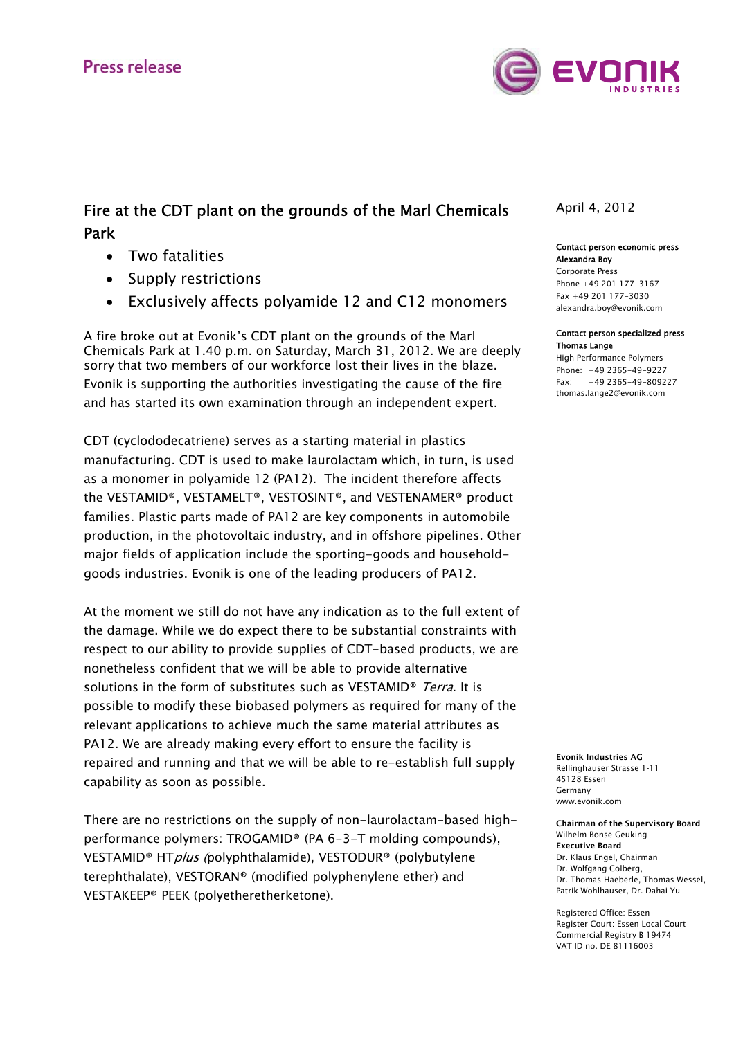

# Fire at the CDT plant on the grounds of the Marl Chemicals Park

- Two fatalities
- Supply restrictions
- Exclusively affects polyamide 12 and C12 monomers

A fire broke out at Evonik's CDT plant on the grounds of the Marl Chemicals Park at 1.40 p.m. on Saturday, March 31, 2012. We are deeply sorry that two members of our workforce lost their lives in the blaze. Evonik is supporting the authorities investigating the cause of the fire and has started its own examination through an independent expert.

CDT (cyclododecatriene) serves as a starting material in plastics manufacturing. CDT is used to make laurolactam which, in turn, is used as a monomer in polyamide 12 (PA12). The incident therefore affects the VESTAMID®, VESTAMELT®, VESTOSINT®, and VESTENAMER® product families. Plastic parts made of PA12 are key components in automobile production, in the photovoltaic industry, and in offshore pipelines. Other major fields of application include the sporting-goods and householdgoods industries. Evonik is one of the leading producers of PA12.

At the moment we still do not have any indication as to the full extent of the damage. While we do expect there to be substantial constraints with respect to our ability to provide supplies of CDT-based products, we are nonetheless confident that we will be able to provide alternative solutions in the form of substitutes such as VESTAMID<sup>®</sup> Terra. It is possible to modify these biobased polymers as required for many of the relevant applications to achieve much the same material attributes as PA12. We are already making every effort to ensure the facility is repaired and running and that we will be able to re-establish full supply capability as soon as possible.

There are no restrictions on the supply of non-laurolactam-based highperformance polymers: TROGAMID® (PA 6-3-T molding compounds), VESTAMID® HTplus (polyphthalamide), VESTODUR® (polybutylene terephthalate), VESTORAN® (modified polyphenylene ether) and VESTAKEEP® PEEK (polyetheretherketone).

# April 4, 2012

### Contact person economic press Alexandra Boy

Corporate Press Phone +49 201 177-3167 Fax +49 201 177-3030 alexandra.boy@evonik.com

#### Contact person specialized press Thomas Lange

High Performance Polymers Phone: +49 2365-49-9227  $Fay: +49\ 2365 - 49 - 809227$ thomas.lange2@evonik.com

Evonik Industries AG Rellinghauser Strasse 1-11 45128 Essen Germany www.evonik.com

Chairman of the Supervisory Board Wilhelm Bonse-Geuking Executive Board Dr. Klaus Engel, Chairman Dr. Wolfgang Colberg, Dr. Thomas Haeberle, Thomas Wessel, Patrik Wohlhauser, Dr. Dahai Yu

Registered Office: Essen Register Court: Essen Local Court Commercial Registry B 19474 VAT ID no. DE 81116003